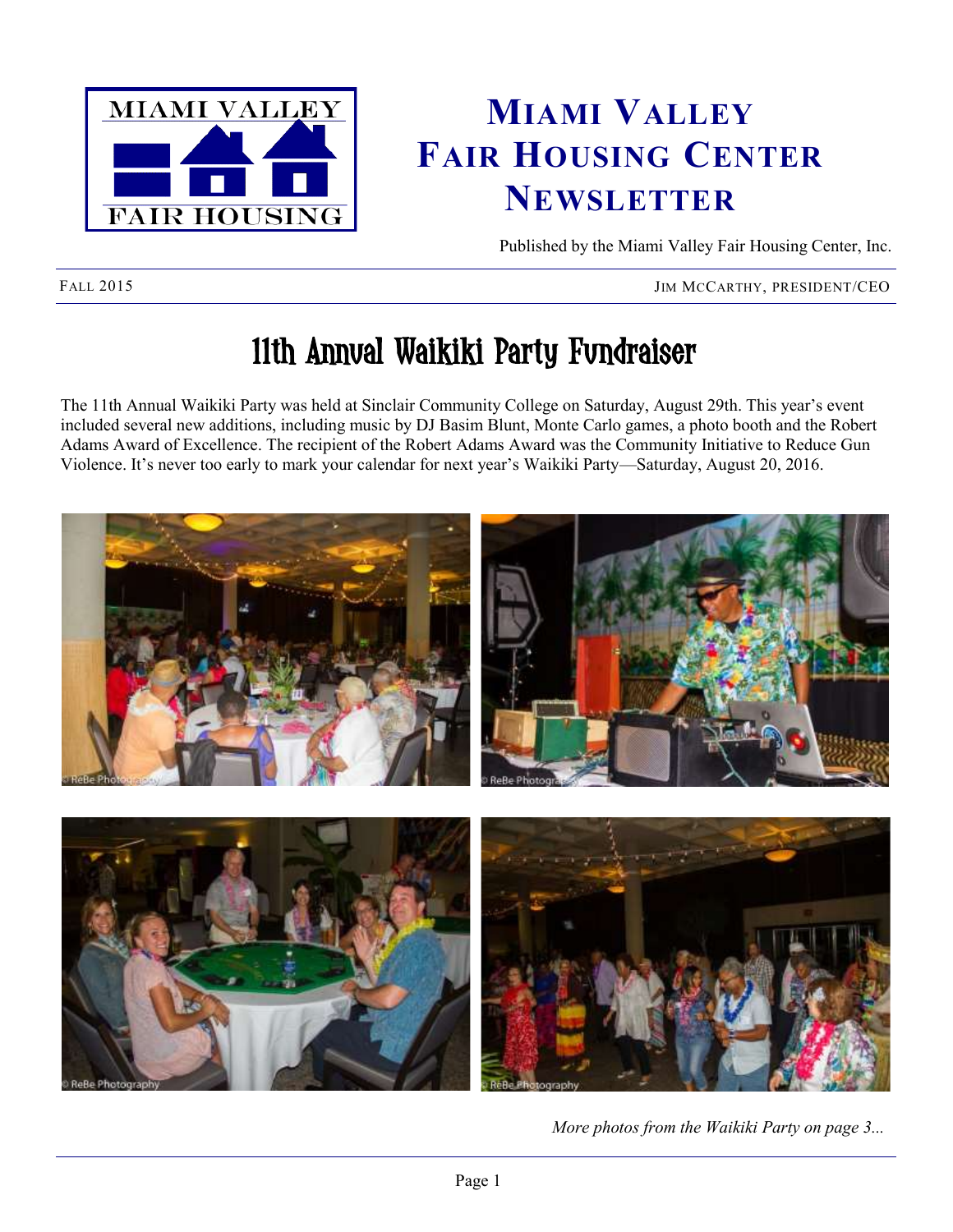

# **MIAMI VALLEY FAIR HOUSING CENTER NEWSLETTER**

Published by the Miami Valley Fair Housing Center, Inc.

FALL 2015 JIM MCCARTHY, PRESIDENT/CEO

# 11th Annual Waikiki Party Fundraiser

The 11th Annual Waikiki Party was held at Sinclair Community College on Saturday, August 29th. This year's event included several new additions, including music by DJ Basim Blunt, Monte Carlo games, a photo booth and the Robert Adams Award of Excellence. The recipient of the Robert Adams Award was the Community Initiative to Reduce Gun Violence. It's never too early to mark your calendar for next year's Waikiki Party—Saturday, August 20, 2016.



*More photos from the Waikiki Party on page 3...*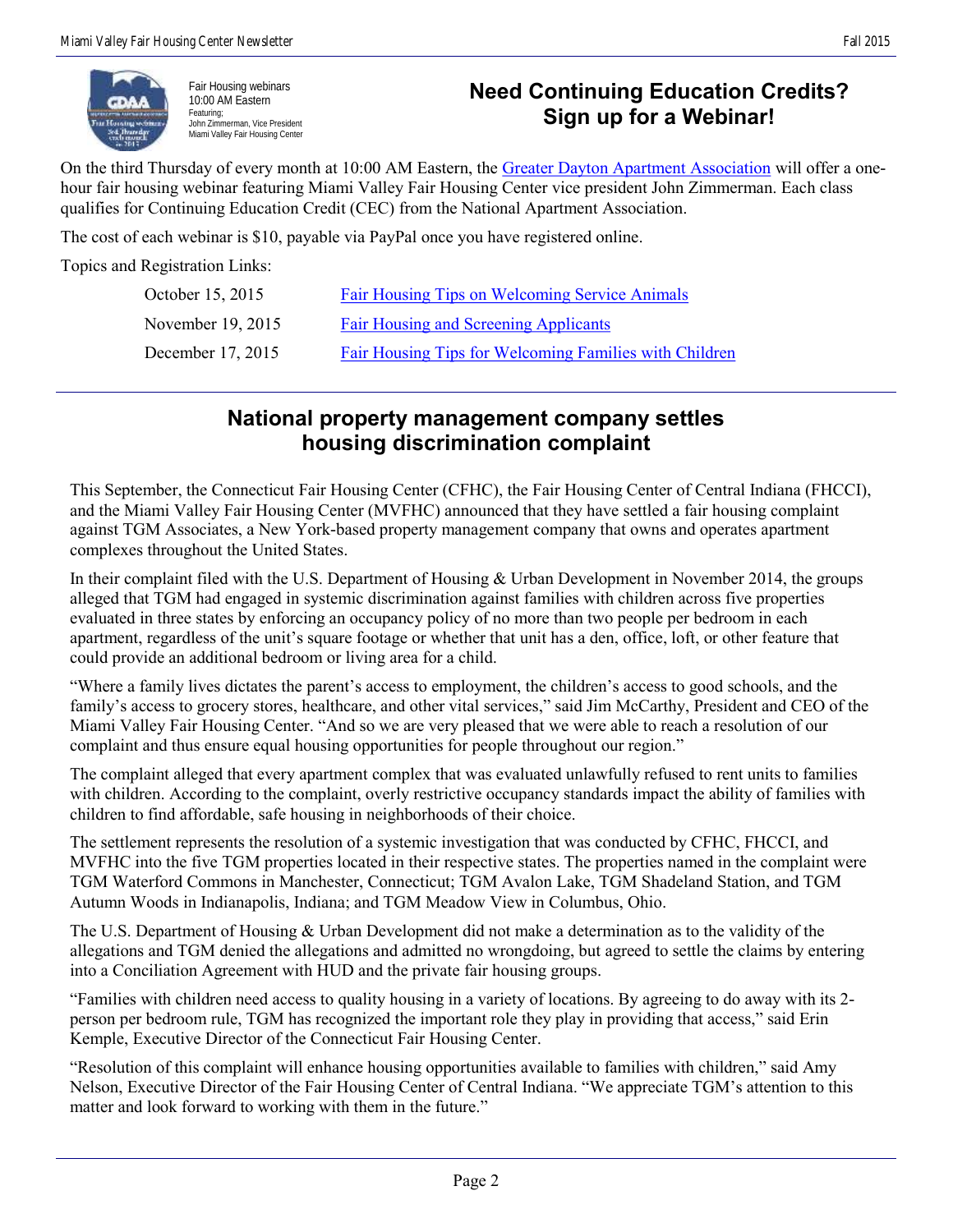

Fair Housing webinars 10:00 AM Eastern Featuring; John Zimmerman, Vice President Miami Valley Fair Housing Center

# **Need Continuing Education Credits? Sign up for a Webinar!**

On the third Thursday of every month at 10:00 AM Eastern, the [Greater Dayton Apartment Association](http://www.gdaa.org) will offer a onehour fair housing webinar featuring Miami Valley Fair Housing Center vice president John Zimmerman. Each class qualifies for Continuing Education Credit (CEC) from the National Apartment Association.

The cost of each webinar is \$10, payable via PayPal once you have registered online.

Topics and Registration Links:

| October 15, 2015  | <b>Fair Housing Tips on Welcoming Service Animals</b>  |
|-------------------|--------------------------------------------------------|
| November 19, 2015 | <b>Fair Housing and Screening Applicants</b>           |
| December 17, 2015 | Fair Housing Tips for Welcoming Families with Children |

# **National property management company settles housing discrimination complaint**

This September, the Connecticut Fair Housing Center (CFHC), the Fair Housing Center of Central Indiana (FHCCI), and the Miami Valley Fair Housing Center (MVFHC) announced that they have settled a fair housing complaint against TGM Associates, a New York-based property management company that owns and operates apartment complexes throughout the United States.

In their complaint filed with the U.S. Department of Housing & Urban Development in November 2014, the groups alleged that TGM had engaged in systemic discrimination against families with children across five properties evaluated in three states by enforcing an occupancy policy of no more than two people per bedroom in each apartment, regardless of the unit's square footage or whether that unit has a den, office, loft, or other feature that could provide an additional bedroom or living area for a child.

"Where a family lives dictates the parent's access to employment, the children's access to good schools, and the family's access to grocery stores, healthcare, and other vital services," said Jim McCarthy, President and CEO of the Miami Valley Fair Housing Center. "And so we are very pleased that we were able to reach a resolution of our complaint and thus ensure equal housing opportunities for people throughout our region."

The complaint alleged that every apartment complex that was evaluated unlawfully refused to rent units to families with children. According to the complaint, overly restrictive occupancy standards impact the ability of families with children to find affordable, safe housing in neighborhoods of their choice.

The settlement represents the resolution of a systemic investigation that was conducted by CFHC, FHCCI, and MVFHC into the five TGM properties located in their respective states. The properties named in the complaint were TGM Waterford Commons in Manchester, Connecticut; TGM Avalon Lake, TGM Shadeland Station, and TGM Autumn Woods in Indianapolis, Indiana; and TGM Meadow View in Columbus, Ohio.

The U.S. Department of Housing & Urban Development did not make a determination as to the validity of the allegations and TGM denied the allegations and admitted no wrongdoing, but agreed to settle the claims by entering into a Conciliation Agreement with HUD and the private fair housing groups.

"Families with children need access to quality housing in a variety of locations. By agreeing to do away with its 2 person per bedroom rule, TGM has recognized the important role they play in providing that access," said Erin Kemple, Executive Director of the Connecticut Fair Housing Center.

"Resolution of this complaint will enhance housing opportunities available to families with children," said Amy Nelson, Executive Director of the Fair Housing Center of Central Indiana. "We appreciate TGM's attention to this matter and look forward to working with them in the future."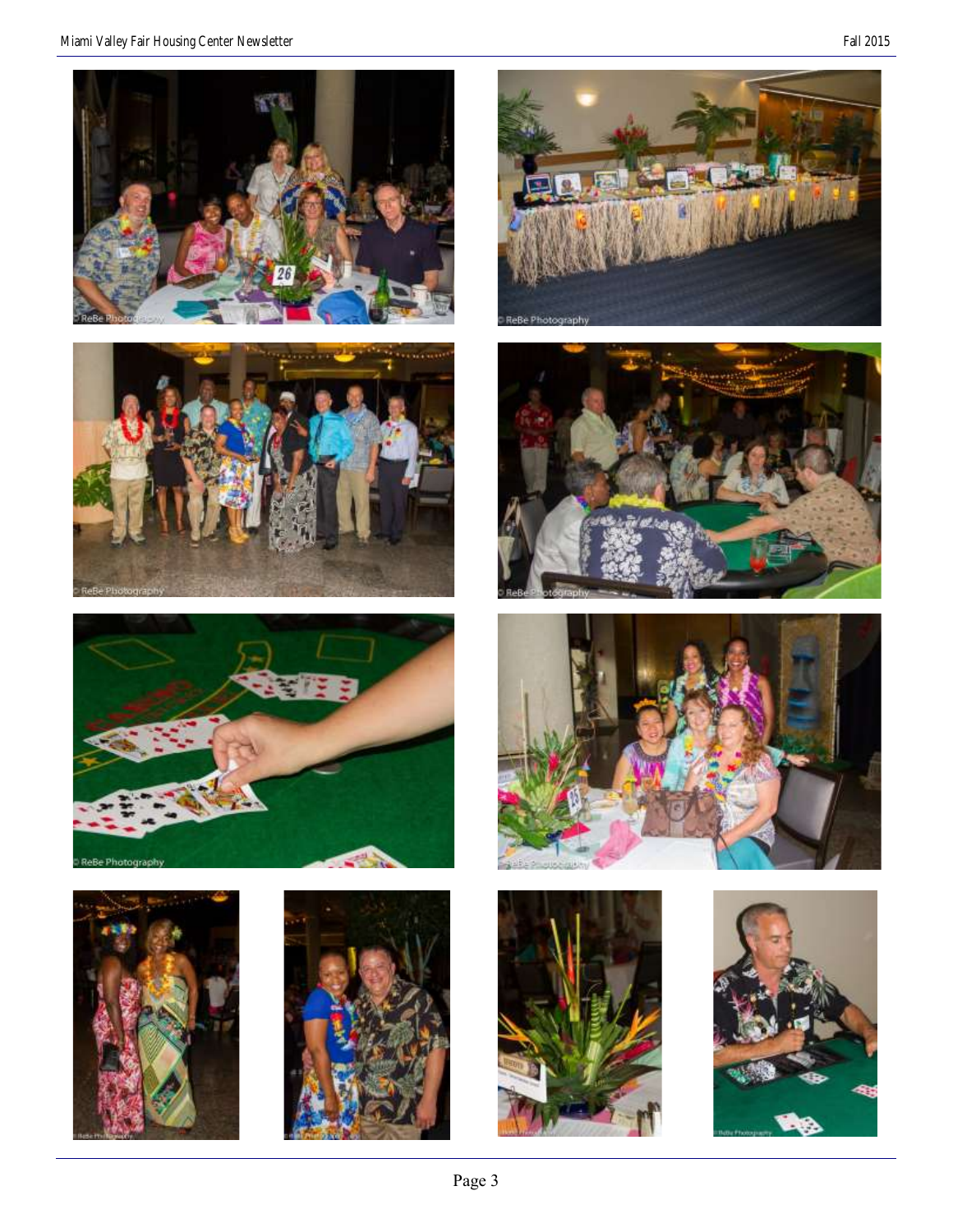